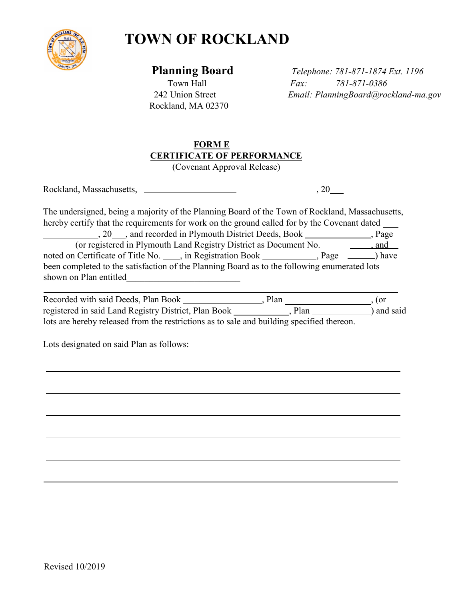

## **TOWN OF ROCKLAND**

Rockland, MA 02370

 **Planning Board** *Telephone: 781-871-1874 Ext. 1196* Town Hall *Fax: 781-871-0386* 242 Union Street *Email: PlanningBoard@rockland-ma.gov*

## **FORM E CERTIFICATE OF PERFORMANCE**

(Covenant Approval Release)

Rockland, Massachusetts,  $\qquad \qquad 20$ 

The undersigned, being a majority of the Planning Board of the Town of Rockland, Massachusetts, hereby certify that the requirements for work on the ground called for by the Covenant dated 20 , and recorded in Plymouth District Deeds, Book  $\Box$ , Page (or registered in Plymouth Land Registry District as Document No. 49. and  $\overline{\phantom{a}}$ noted on Certificate of Title No. in Registration Book Regional Registration Book have been completed to the satisfaction of the Planning Board as to the following enumerated lots shown on Plan entitled

| Recorded with said Deeds, Plan Book                                                       | Plan |      | (or        |
|-------------------------------------------------------------------------------------------|------|------|------------|
| registered in said Land Registry District, Plan Book                                      |      | Plan | ) and said |
| lots are hereby released from the restrictions as to sale and building specified thereon. |      |      |            |

Lots designated on said Plan as follows: